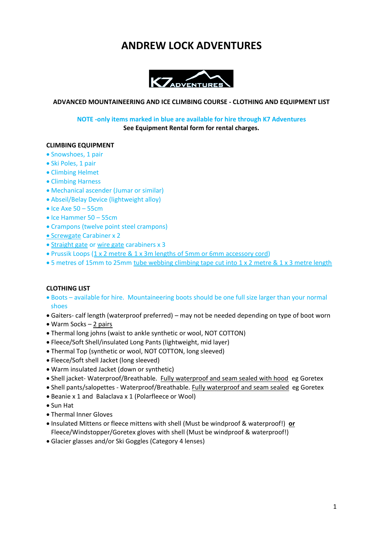## **ANDREW LOCK ADVENTURES**



### **ADVANCED MOUNTAINEERING AND ICE CLIMBING COURSE - CLOTHING AND EQUIPMENT LIST**

**NOTE -only items marked in blue are available for hire through K7 Adventures See Equipment Rental form for rental charges.**

### **CLIMBING EQUIPMENT**

- Snowshoes, 1 pair
- Ski Poles, 1 pair
- Climbing Helmet
- Climbing Harness
- Mechanical ascender (Jumar or similar)
- Abseil/Belay Device (lightweight alloy)
- $\bullet$  Ice Axe 50 55cm
- Ice Hammer 50 55cm
- Crampons (twelve point steel crampons)
- [•](https://mountainequipment.com/products/pure-screw-gate?variant=35878492737) [Screwgate](https://mountainequipment.com/products/pure-screw-gate?variant=35878492737) Carabiner x 2
- [Straight gate](https://mountainequipment.com/products/pure-straight-gate-carabiner?variant=35878493505) or [wire gate](https://mountainequipment.com/products/pure-wire-gate-carabiner?variant=35878493569) carabiners x 3
- Prussik Loops (1 x 2 metre [& 1 x 3m lengths of 5mm or 6mm accessory cord\)](https://mountainequipment.com/search?type=article%2Cproduct&q=cord)
- 5 metres of 15mm to 25mm [tube webbing climbing tape](http://www.climbinganchors.com.au/climbing-gear/slings-cord-webbing/webbing-tape/) cut into 1 x 2 metre & 1 x 3 metre length

### **CLOTHING LIST**

- Boots available for hire. Mountaineering boots should be one full size larger than your normal shoes
- Gaiters- calf length (waterproof preferred) may not be needed depending on type of boot worn
- Warm Socks 2 pairs
- Thermal long johns (waist to ankle synthetic or wool, NOT COTTON)
- Fleece/Soft Shell/insulated Long Pants (lightweight, mid layer)
- Thermal Top (synthetic or wool, NOT COTTON, long sleeved)
- Fleece/Soft shell Jacket (long sleeved)
- Warm insulated Jacket (down or synthetic)
- Shell jacket- Waterproof/Breathable. Fully waterproof and seam sealed with hood eg Goretex
- Shell pants/salopettes Waterproof/Breathable. Fully waterproof and seam sealed eg Goretex
- Beanie x 1 and Balaclava x 1 (Polarfleece or Wool)
- Sun Hat
- Thermal Inner Gloves
- Insulated Mittens or fleece mittens with shell (Must be windproof & waterproof!) **or** Fleece/Windstopper/Goretex gloves with shell (Must be windproof & waterproof!)
- Glacier glasses and/or Ski Goggles (Category 4 lenses)